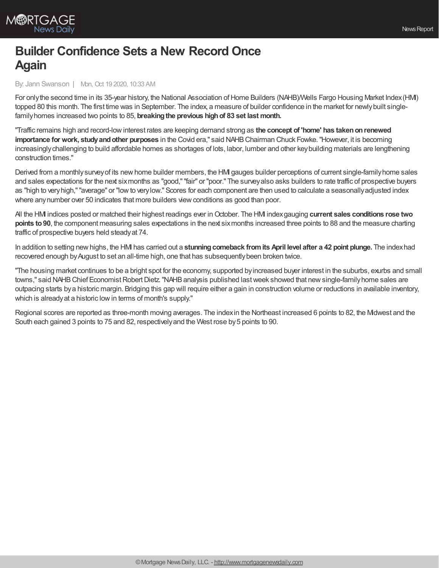

## **Builder Confidence Sets a New Record Once Again**

By: Jann Swanson | Mon, Oct 19 2020, 10:33 AM

For only the second time in its 35-year history, the National Association of Home Builders (NAHB)/Wells Fargo Housing Market Index (HMI) topped 80 this month. The first time was in September. The index, a measure of builder confidence in the market for newly built singlefamilyhomes increased two points to 85, **breakingthe previous highof 83 set last month.**

"Traffic remains high and record-lowinterest rates are keeping demand strong as **the concept of 'home' has takenonrenewed importance for work, studyandother purposes** in the Covid era," said NAHBChairman Chuck Fowke."However, it is becoming increasinglychallenging to build affordable homes as shortages of lots, labor, lumber and other keybuilding materials are lengthening construction times."

Derived from a monthlysurveyof its newhome builder members, the HMI gauges builder perceptions of current single-familyhome sales and sales expectations for the next six months as "good," "fair" or "poor." The survey also asks builders to rate traffic of prospective buyers as "high to veryhigh,""average" or "lowto verylow." Scores for each component are then used to calculate a seasonallyadjusted index where any number over 50 indicates that more builders view conditions as good than poor.

All the HMI indices posted or matched their highest readings ever inOctober. The HMI indexgauging **current sales conditions rose two points to90**, the component measuring sales expectations in the next sixmonths increased three points to 88 and the measure charting traffic of prospective buyers held steadyat 74.

In addition to setting newhighs, the HMI has carried out a **stunningcomeback fromits April level after a 42 point plunge.** The indexhad recovered enough byAugust to set an all-time high, one that has subsequentlybeen broken twice.

"The housing market continues to be a bright spot for the economy, supported byincreased buyer interest in the suburbs, exurbs and small towns," said NAHB Chief Economist Robert Dietz. "NAHB analysis published last week showed that new single-family home sales are outpacing starts bya historic margin. Bridging this gap will require either a gain in construction volume or reductions in available inventory, which is already at a historic low in terms of month's supply."

Regional scores are reported as three-month moving averages. The indexin the Northeast increased 6 points to 82, the Midwest and the South each gained 3 points to 75 and 82, respectivelyand the West rose by5 points to 90.